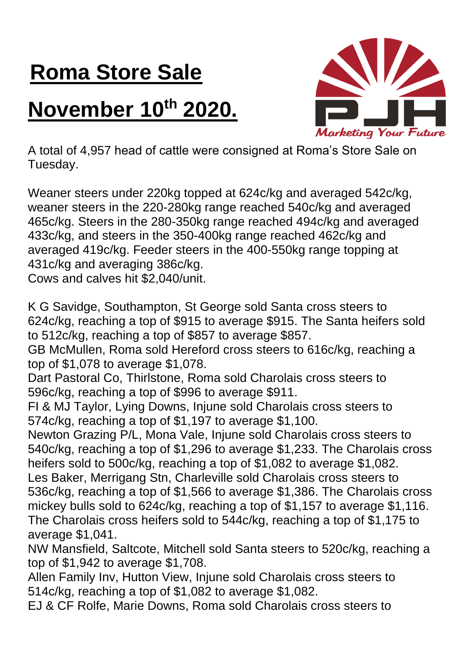## **Roma Store Sale**

## **November 10th 2020.**



A total of 4,957 head of cattle were consigned at Roma's Store Sale on Tuesday.

Weaner steers under 220kg topped at 624c/kg and averaged 542c/kg, weaner steers in the 220-280kg range reached 540c/kg and averaged 465c/kg. Steers in the 280-350kg range reached 494c/kg and averaged 433c/kg, and steers in the 350-400kg range reached 462c/kg and averaged 419c/kg. Feeder steers in the 400-550kg range topping at 431c/kg and averaging 386c/kg.

Cows and calves hit \$2,040/unit.

K G Savidge, Southampton, St George sold Santa cross steers to 624c/kg, reaching a top of \$915 to average \$915. The Santa heifers sold to 512c/kg, reaching a top of \$857 to average \$857.

GB McMullen, Roma sold Hereford cross steers to 616c/kg, reaching a top of \$1,078 to average \$1,078.

Dart Pastoral Co, Thirlstone, Roma sold Charolais cross steers to 596c/kg, reaching a top of \$996 to average \$911.

FI & MJ Taylor, Lying Downs, Injune sold Charolais cross steers to 574c/kg, reaching a top of \$1,197 to average \$1,100.

Newton Grazing P/L, Mona Vale, Injune sold Charolais cross steers to 540c/kg, reaching a top of \$1,296 to average \$1,233. The Charolais cross heifers sold to 500c/kg, reaching a top of \$1,082 to average \$1,082. Les Baker, Merrigang Stn, Charleville sold Charolais cross steers to 536c/kg, reaching a top of \$1,566 to average \$1,386. The Charolais cross mickey bulls sold to 624c/kg, reaching a top of \$1,157 to average \$1,116. The Charolais cross heifers sold to 544c/kg, reaching a top of \$1,175 to average \$1,041.

NW Mansfield, Saltcote, Mitchell sold Santa steers to 520c/kg, reaching a top of \$1,942 to average \$1,708.

Allen Family Inv, Hutton View, Injune sold Charolais cross steers to 514c/kg, reaching a top of \$1,082 to average \$1,082.

EJ & CF Rolfe, Marie Downs, Roma sold Charolais cross steers to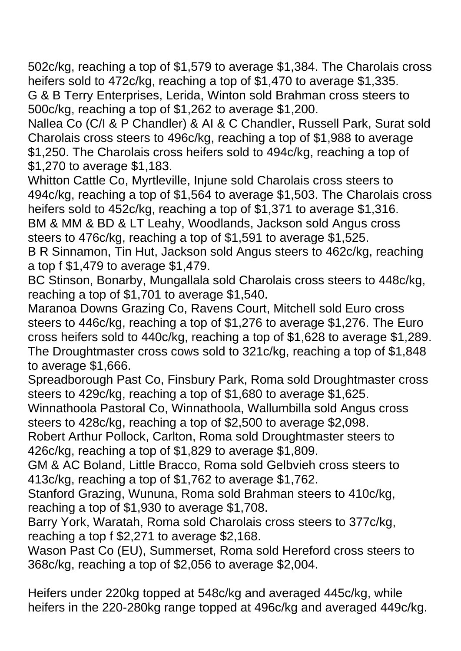502c/kg, reaching a top of \$1,579 to average \$1,384. The Charolais cross heifers sold to 472c/kg, reaching a top of \$1,470 to average \$1,335. G & B Terry Enterprises, Lerida, Winton sold Brahman cross steers to 500c/kg, reaching a top of \$1,262 to average \$1,200.

Nallea Co (C/I & P Chandler) & AI & C Chandler, Russell Park, Surat sold Charolais cross steers to 496c/kg, reaching a top of \$1,988 to average \$1,250. The Charolais cross heifers sold to 494c/kg, reaching a top of \$1,270 to average \$1,183.

Whitton Cattle Co, Myrtleville, Injune sold Charolais cross steers to 494c/kg, reaching a top of \$1,564 to average \$1,503. The Charolais cross heifers sold to 452c/kg, reaching a top of \$1,371 to average \$1,316.

BM & MM & BD & LT Leahy, Woodlands, Jackson sold Angus cross steers to 476c/kg, reaching a top of \$1,591 to average \$1,525.

B R Sinnamon, Tin Hut, Jackson sold Angus steers to 462c/kg, reaching a top f \$1,479 to average \$1,479.

BC Stinson, Bonarby, Mungallala sold Charolais cross steers to 448c/kg, reaching a top of \$1,701 to average \$1,540.

Maranoa Downs Grazing Co, Ravens Court, Mitchell sold Euro cross steers to 446c/kg, reaching a top of \$1,276 to average \$1,276. The Euro cross heifers sold to 440c/kg, reaching a top of \$1,628 to average \$1,289. The Droughtmaster cross cows sold to 321c/kg, reaching a top of \$1,848 to average \$1,666.

Spreadborough Past Co, Finsbury Park, Roma sold Droughtmaster cross steers to 429c/kg, reaching a top of \$1,680 to average \$1,625.

Winnathoola Pastoral Co, Winnathoola, Wallumbilla sold Angus cross steers to 428c/kg, reaching a top of \$2,500 to average \$2,098.

Robert Arthur Pollock, Carlton, Roma sold Droughtmaster steers to 426c/kg, reaching a top of \$1,829 to average \$1,809.

GM & AC Boland, Little Bracco, Roma sold Gelbvieh cross steers to 413c/kg, reaching a top of \$1,762 to average \$1,762.

Stanford Grazing, Wununa, Roma sold Brahman steers to 410c/kg, reaching a top of \$1,930 to average \$1,708.

Barry York, Waratah, Roma sold Charolais cross steers to 377c/kg, reaching a top f \$2,271 to average \$2,168.

Wason Past Co (EU), Summerset, Roma sold Hereford cross steers to 368c/kg, reaching a top of \$2,056 to average \$2,004.

Heifers under 220kg topped at 548c/kg and averaged 445c/kg, while heifers in the 220-280kg range topped at 496c/kg and averaged 449c/kg.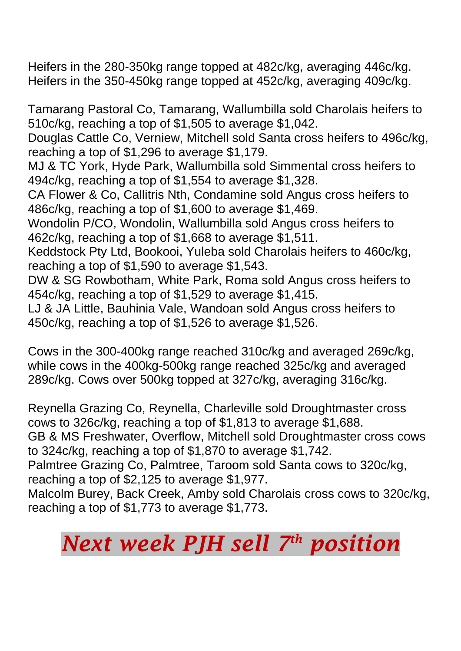Heifers in the 280-350kg range topped at 482c/kg, averaging 446c/kg. Heifers in the 350-450kg range topped at 452c/kg, averaging 409c/kg.

Tamarang Pastoral Co, Tamarang, Wallumbilla sold Charolais heifers to 510c/kg, reaching a top of \$1,505 to average \$1,042.

Douglas Cattle Co, Verniew, Mitchell sold Santa cross heifers to 496c/kg, reaching a top of \$1,296 to average \$1,179.

MJ & TC York, Hyde Park, Wallumbilla sold Simmental cross heifers to 494c/kg, reaching a top of \$1,554 to average \$1,328.

CA Flower & Co, Callitris Nth, Condamine sold Angus cross heifers to 486c/kg, reaching a top of \$1,600 to average \$1,469.

Wondolin P/CO, Wondolin, Wallumbilla sold Angus cross heifers to 462c/kg, reaching a top of \$1,668 to average \$1,511.

Keddstock Pty Ltd, Bookooi, Yuleba sold Charolais heifers to 460c/kg, reaching a top of \$1,590 to average \$1,543.

DW & SG Rowbotham, White Park, Roma sold Angus cross heifers to 454c/kg, reaching a top of \$1,529 to average \$1,415.

LJ & JA Little, Bauhinia Vale, Wandoan sold Angus cross heifers to 450c/kg, reaching a top of \$1,526 to average \$1,526.

Cows in the 300-400kg range reached 310c/kg and averaged 269c/kg, while cows in the 400kg-500kg range reached 325c/kg and averaged 289c/kg. Cows over 500kg topped at 327c/kg, averaging 316c/kg.

Reynella Grazing Co, Reynella, Charleville sold Droughtmaster cross cows to 326c/kg, reaching a top of \$1,813 to average \$1,688.

GB & MS Freshwater, Overflow, Mitchell sold Droughtmaster cross cows to 324c/kg, reaching a top of \$1,870 to average \$1,742.

Palmtree Grazing Co, Palmtree, Taroom sold Santa cows to 320c/kg, reaching a top of \$2,125 to average \$1,977.

Malcolm Burey, Back Creek, Amby sold Charolais cross cows to 320c/kg, reaching a top of \$1,773 to average \$1,773.

## *Next week PJH sell 7 th position*